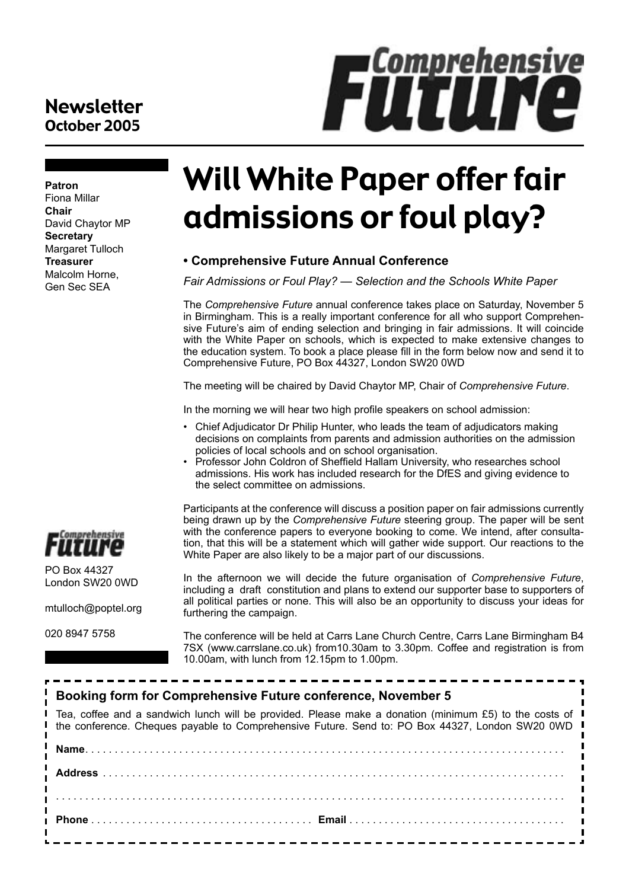#### **Newsletter** October 2005

**Patron** Fiona Millar **Chair** David Chaytor MP **Secretary** Margaret Tulloch **Treasurer** Malcolm Horne, Gen Sec SEA



**FiltIINe** 

#### **• Comprehensive Future Annual Conference**

*Fair Admissions or Foul Play? — Selection and the Schools White Paper*

The *Comprehensive Future* annual conference takes place on Saturday, November 5 in Birmingham. This is a really important conference for all who support Comprehensive Future's aim of ending selection and bringing in fair admissions. It will coincide with the White Paper on schools, which is expected to make extensive changes to the education system. To book a place please fill in the form below now and send it to Comprehensive Future, PO Box 44327, London SW20 0WD

The meeting will be chaired by David Chaytor MP, Chair of *Comprehensive Future*.

In the morning we will hear two high profile speakers on school admission:

- Chief Adjudicator Dr Philip Hunter, who leads the team of adjudicators making decisions on complaints from parents and admission authorities on the admission policies of local schools and on school organisation.
- Professor John Coldron of Sheffield Hallam University, who researches school admissions. His work has included research for the DfES and giving evidence to the select committee on admissions.

Participants at the conference will discuss a position paper on fair admissions currently being drawn up by the *Comprehensive Future* steering group. The paper will be sent with the conference papers to everyone booking to come. We intend, after consultation, that this will be a statement which will gather wide support. Our reactions to the White Paper are also likely to be a major part of our discussions.

In the afternoon we will decide the future organisation of *Comprehensive Future*, including a draft constitution and plans to extend our supporter base to supporters of all political parties or none. This will also be an opportunity to discuss your ideas for furthering the campaign.

The conference will be held at Carrs Lane Church Centre, Carrs Lane Birmingham B4 7SX (www.carrslane.co.uk) from10.30am to 3.30pm. Coffee and registration is from 10.00am, with lunch from 12.15pm to 1.00pm.

| Booking form for Comprehensive Future conference, November 5                                                                                                                                                               |
|----------------------------------------------------------------------------------------------------------------------------------------------------------------------------------------------------------------------------|
| Tea, coffee and a sandwich lunch will be provided. Please make a donation (minimum £5) to the costs of $\blacksquare$<br>the conference. Cheques payable to Comprehensive Future. Send to: PO Box 44327, London SW20 0WD I |
|                                                                                                                                                                                                                            |
|                                                                                                                                                                                                                            |
|                                                                                                                                                                                                                            |
|                                                                                                                                                                                                                            |
| ______________________________                                                                                                                                                                                             |



PO Box 44327 London SW20 0WD

mtulloch@poptel.org

020 8947 5758